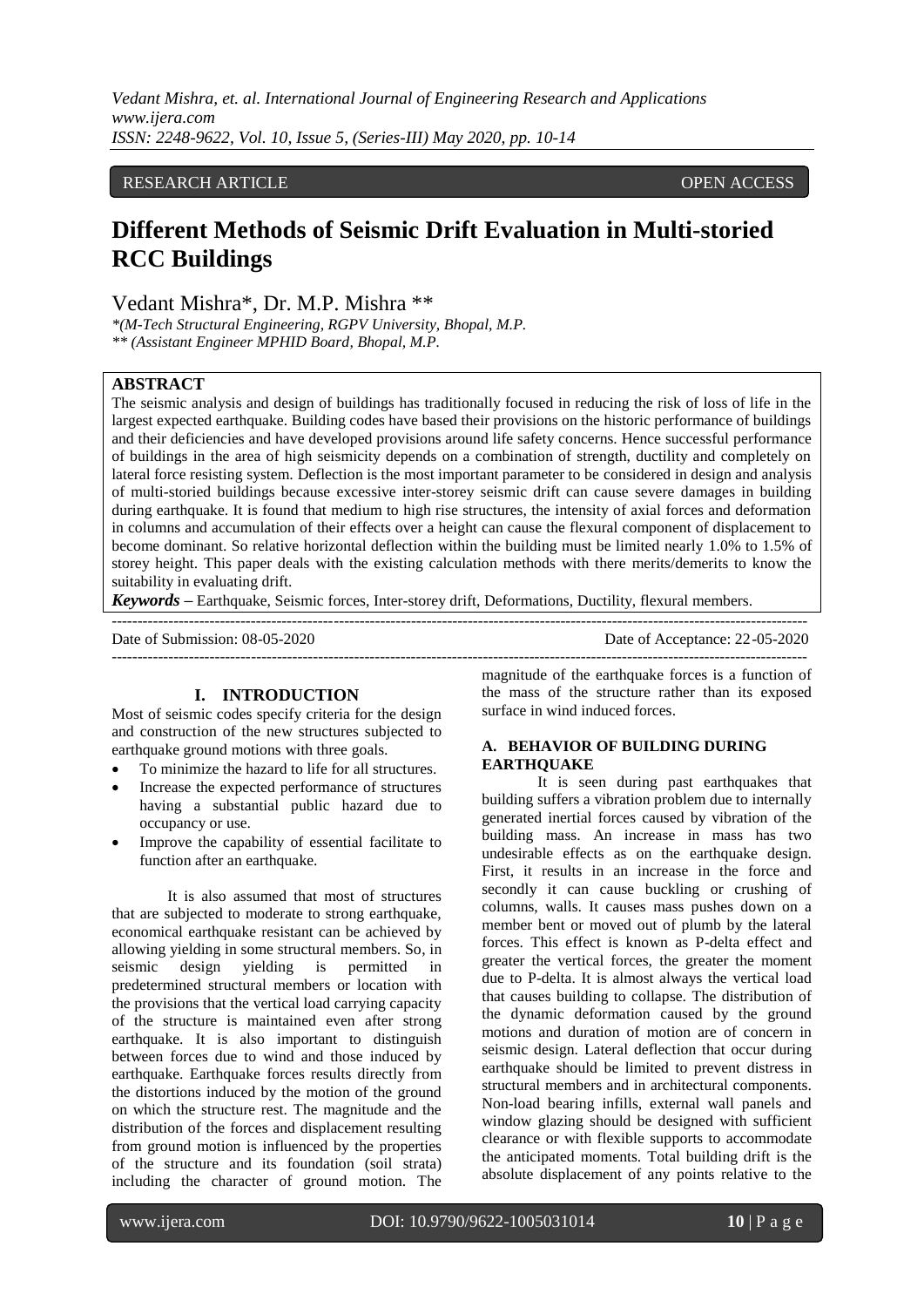*Vedant Mishra, et. al. International Journal of Engineering Research and Applications www.ijera.com ISSN: 2248-9622, Vol. 10, Issue 5, (Series-III) May 2020, pp. 10-14*

### RESEARCH ARTICLE **CONTRACT ARTICLE** AND A SERVICE OPEN ACCESS OPEN ACCESS

# **Different Methods of Seismic Drift Evaluation in Multi-storied RCC Buildings**

## Vedant Mishra\*, Dr. M.P. Mishra \*\*

*\*(M-Tech Structural Engineering, RGPV University, Bhopal, M.P. \*\* (Assistant Engineer MPHID Board, Bhopal, M.P.*

### **ABSTRACT**

The seismic analysis and design of buildings has traditionally focused in reducing the risk of loss of life in the largest expected earthquake. Building codes have based their provisions on the historic performance of buildings and their deficiencies and have developed provisions around life safety concerns. Hence successful performance of buildings in the area of high seismicity depends on a combination of strength, ductility and completely on lateral force resisting system. Deflection is the most important parameter to be considered in design and analysis of multi-storied buildings because excessive inter-storey seismic drift can cause severe damages in building during earthquake. It is found that medium to high rise structures, the intensity of axial forces and deformation in columns and accumulation of their effects over a height can cause the flexural component of displacement to become dominant. So relative horizontal deflection within the building must be limited nearly 1.0% to 1.5% of storey height. This paper deals with the existing calculation methods with there merits/demerits to know the suitability in evaluating drift.

---------------------------------------------------------------------------------------------------------------------------------------

*Keywords* **–** Earthquake, Seismic forces, Inter-storey drift, Deformations, Ductility, flexural members.

Date of Submission: 08-05-2020 Date of Acceptance: 22-05-2020

#### **I. INTRODUCTION**

---------------------------------------------------------------------------------------------------------------------------------------

Most of seismic codes specify criteria for the design and construction of the new structures subjected to earthquake ground motions with three goals.

- To minimize the hazard to life for all structures.
- Increase the expected performance of structures having a substantial public hazard due to occupancy or use.
- Improve the capability of essential facilitate to function after an earthquake.

It is also assumed that most of structures that are subjected to moderate to strong earthquake, economical earthquake resistant can be achieved by allowing yielding in some structural members. So, in seismic design yielding is permitted in predetermined structural members or location with the provisions that the vertical load carrying capacity of the structure is maintained even after strong earthquake. It is also important to distinguish between forces due to wind and those induced by earthquake. Earthquake forces results directly from the distortions induced by the motion of the ground on which the structure rest. The magnitude and the distribution of the forces and displacement resulting from ground motion is influenced by the properties of the structure and its foundation (soil strata) including the character of ground motion. The

magnitude of the earthquake forces is a function of the mass of the structure rather than its exposed surface in wind induced forces.

#### **A. BEHAVIOR OF BUILDING DURING EARTHQUAKE**

It is seen during past earthquakes that building suffers a vibration problem due to internally generated inertial forces caused by vibration of the building mass. An increase in mass has two undesirable effects as on the earthquake design. First, it results in an increase in the force and secondly it can cause buckling or crushing of columns, walls. It causes mass pushes down on a member bent or moved out of plumb by the lateral forces. This effect is known as P-delta effect and greater the vertical forces, the greater the moment due to P-delta. It is almost always the vertical load that causes building to collapse. The distribution of the dynamic deformation caused by the ground motions and duration of motion are of concern in seismic design. Lateral deflection that occur during earthquake should be limited to prevent distress in structural members and in architectural components. Non-load bearing infills, external wall panels and window glazing should be designed with sufficient clearance or with flexible supports to accommodate the anticipated moments. Total building drift is the absolute displacement of any points relative to the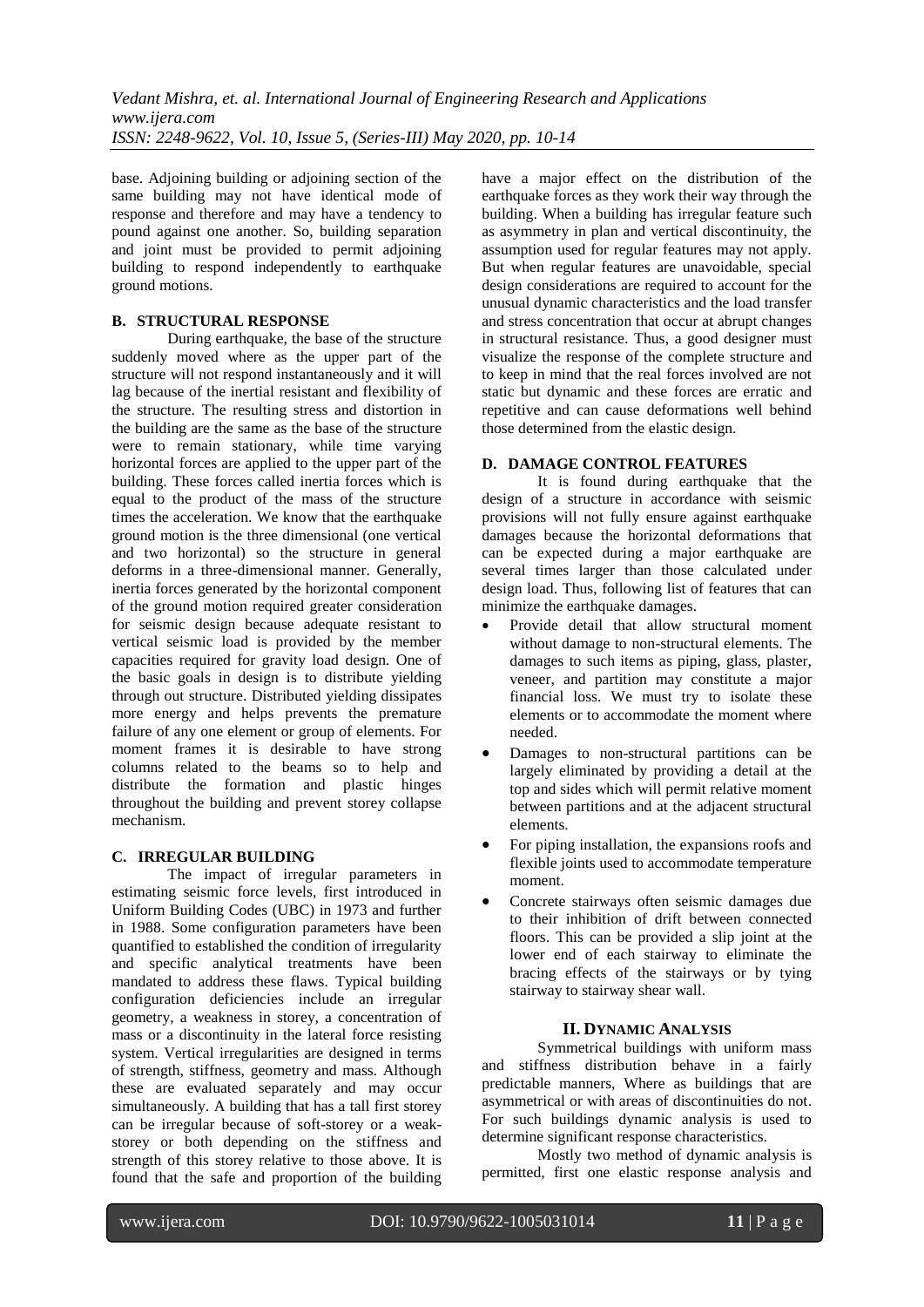base. Adjoining building or adjoining section of the same building may not have identical mode of response and therefore and may have a tendency to pound against one another. So, building separation and joint must be provided to permit adjoining building to respond independently to earthquake ground motions.

## **B. STRUCTURAL RESPONSE**

During earthquake, the base of the structure suddenly moved where as the upper part of the structure will not respond instantaneously and it will lag because of the inertial resistant and flexibility of the structure. The resulting stress and distortion in the building are the same as the base of the structure were to remain stationary, while time varying horizontal forces are applied to the upper part of the building. These forces called inertia forces which is equal to the product of the mass of the structure times the acceleration. We know that the earthquake ground motion is the three dimensional (one vertical and two horizontal) so the structure in general deforms in a three-dimensional manner. Generally, inertia forces generated by the horizontal component of the ground motion required greater consideration for seismic design because adequate resistant to vertical seismic load is provided by the member capacities required for gravity load design. One of the basic goals in design is to distribute yielding through out structure. Distributed yielding dissipates more energy and helps prevents the premature failure of any one element or group of elements. For moment frames it is desirable to have strong columns related to the beams so to help and distribute the formation and plastic hinges throughout the building and prevent storey collapse mechanism.

## **C. IRREGULAR BUILDING**

The impact of irregular parameters in estimating seismic force levels, first introduced in Uniform Building Codes (UBC) in 1973 and further in 1988. Some configuration parameters have been quantified to established the condition of irregularity and specific analytical treatments have been mandated to address these flaws. Typical building configuration deficiencies include an irregular geometry, a weakness in storey, a concentration of mass or a discontinuity in the lateral force resisting system. Vertical irregularities are designed in terms of strength, stiffness, geometry and mass. Although these are evaluated separately and may occur simultaneously. A building that has a tall first storey can be irregular because of soft-storey or a weakstorey or both depending on the stiffness and strength of this storey relative to those above. It is found that the safe and proportion of the building

have a major effect on the distribution of the earthquake forces as they work their way through the building. When a building has irregular feature such as asymmetry in plan and vertical discontinuity, the assumption used for regular features may not apply. But when regular features are unavoidable, special design considerations are required to account for the unusual dynamic characteristics and the load transfer and stress concentration that occur at abrupt changes in structural resistance. Thus, a good designer must visualize the response of the complete structure and to keep in mind that the real forces involved are not static but dynamic and these forces are erratic and repetitive and can cause deformations well behind those determined from the elastic design.

#### **D. DAMAGE CONTROL FEATURES**

It is found during earthquake that the design of a structure in accordance with seismic provisions will not fully ensure against earthquake damages because the horizontal deformations that can be expected during a major earthquake are several times larger than those calculated under design load. Thus, following list of features that can minimize the earthquake damages.

- Provide detail that allow structural moment without damage to non-structural elements. The damages to such items as piping, glass, plaster, veneer, and partition may constitute a major financial loss. We must try to isolate these elements or to accommodate the moment where needed.
- Damages to non-structural partitions can be largely eliminated by providing a detail at the top and sides which will permit relative moment between partitions and at the adjacent structural elements.
- For piping installation, the expansions roofs and flexible joints used to accommodate temperature moment.
- Concrete stairways often seismic damages due to their inhibition of drift between connected floors. This can be provided a slip joint at the lower end of each stairway to eliminate the bracing effects of the stairways or by tying stairway to stairway shear wall.

#### **II. DYNAMIC ANALYSIS**

Symmetrical buildings with uniform mass and stiffness distribution behave in a fairly predictable manners, Where as buildings that are asymmetrical or with areas of discontinuities do not. For such buildings dynamic analysis is used to determine significant response characteristics.

Mostly two method of dynamic analysis is permitted, first one elastic response analysis and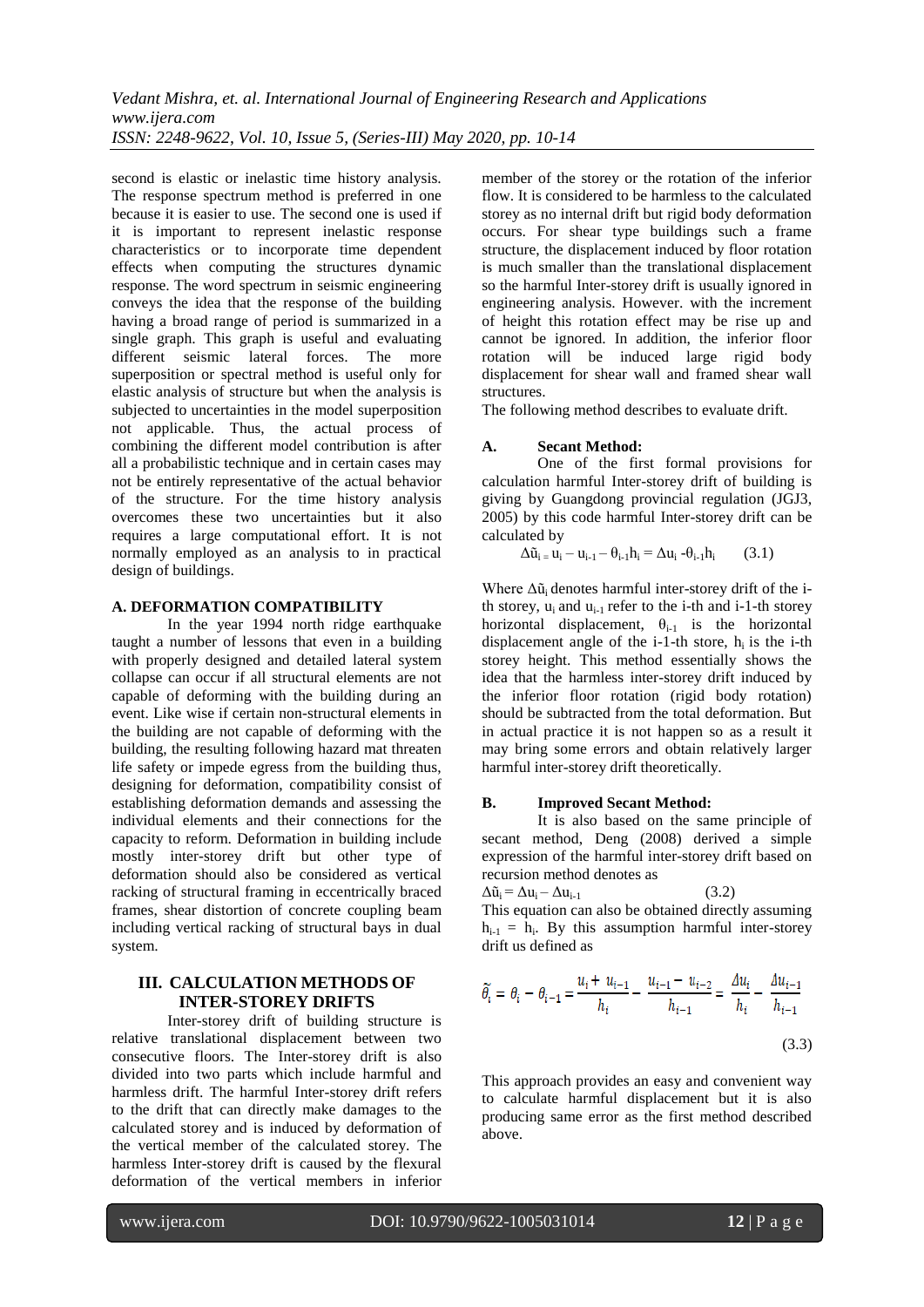second is elastic or inelastic time history analysis. The response spectrum method is preferred in one because it is easier to use. The second one is used if it is important to represent inelastic response characteristics or to incorporate time dependent effects when computing the structures dynamic response. The word spectrum in seismic engineering conveys the idea that the response of the building having a broad range of period is summarized in a single graph. This graph is useful and evaluating different seismic lateral forces. The more superposition or spectral method is useful only for elastic analysis of structure but when the analysis is subjected to uncertainties in the model superposition not applicable. Thus, the actual process of combining the different model contribution is after all a probabilistic technique and in certain cases may not be entirely representative of the actual behavior of the structure. For the time history analysis overcomes these two uncertainties but it also requires a large computational effort. It is not normally employed as an analysis to in practical design of buildings.

#### **A. DEFORMATION COMPATIBILITY**

In the year 1994 north ridge earthquake taught a number of lessons that even in a building with properly designed and detailed lateral system collapse can occur if all structural elements are not capable of deforming with the building during an event. Like wise if certain non-structural elements in the building are not capable of deforming with the building, the resulting following hazard mat threaten life safety or impede egress from the building thus, designing for deformation, compatibility consist of establishing deformation demands and assessing the individual elements and their connections for the capacity to reform. Deformation in building include mostly inter-storey drift but other type of deformation should also be considered as vertical racking of structural framing in eccentrically braced frames, shear distortion of concrete coupling beam including vertical racking of structural bays in dual system.

### **III. CALCULATION METHODS OF INTER-STOREY DRIFTS**

Inter-storey drift of building structure is relative translational displacement between two consecutive floors. The Inter-storey drift is also divided into two parts which include harmful and harmless drift. The harmful Inter-storey drift refers to the drift that can directly make damages to the calculated storey and is induced by deformation of the vertical member of the calculated storey. The harmless Inter-storey drift is caused by the flexural deformation of the vertical members in inferior

member of the storey or the rotation of the inferior flow. It is considered to be harmless to the calculated storey as no internal drift but rigid body deformation occurs. For shear type buildings such a frame structure, the displacement induced by floor rotation is much smaller than the translational displacement so the harmful Inter-storey drift is usually ignored in engineering analysis. However. with the increment of height this rotation effect may be rise up and cannot be ignored. In addition, the inferior floor rotation will be induced large rigid body displacement for shear wall and framed shear wall structures.

The following method describes to evaluate drift.

#### **A. Secant Method:**

One of the first formal provisions for calculation harmful Inter-storey drift of building is giving by Guangdong provincial regulation (JGJ3, 2005) by this code harmful Inter-storey drift can be calculated by

$$
\Delta \tilde{u}_{i} = u_{i} - u_{i-1} - \theta_{i-1} h_{i} = \Delta u_{i} - \theta_{i-1} h_{i} \qquad (3.1)
$$

Where  $\Delta \tilde{u}_i$  denotes harmful inter-storey drift of the ith storey,  $u_i$  and  $u_{i-1}$  refer to the i-th and i-1-th storey horizontal displacement,  $\theta_{i-1}$  is the horizontal displacement angle of the i-1-th store,  $h_i$  is the i-th storey height. This method essentially shows the idea that the harmless inter-storey drift induced by the inferior floor rotation (rigid body rotation) should be subtracted from the total deformation. But in actual practice it is not happen so as a result it may bring some errors and obtain relatively larger harmful inter-storey drift theoretically.

#### **B. Improved Secant Method:**

It is also based on the same principle of secant method, Deng (2008) derived a simple expression of the harmful inter-storey drift based on recursion method denotes as

 $\Delta \tilde{u}_i = \Delta u_i - \Delta u_{i-1}$  (3.2)

This equation can also be obtained directly assuming  $h_{i-1} = h_i$ . By this assumption harmful inter-storey drift us defined as

$$
\widetilde{\theta_i} = \theta_i - \theta_{i-1} = \frac{u_i + u_{i-1}}{h_i} - \frac{u_{i-1} - u_{i-2}}{h_{i-1}} = \frac{\Delta u_i}{h_i} - \frac{\Delta u_{i-1}}{h_{i-1}}
$$
\n(3.3)

This approach provides an easy and convenient way to calculate harmful displacement but it is also producing same error as the first method described above.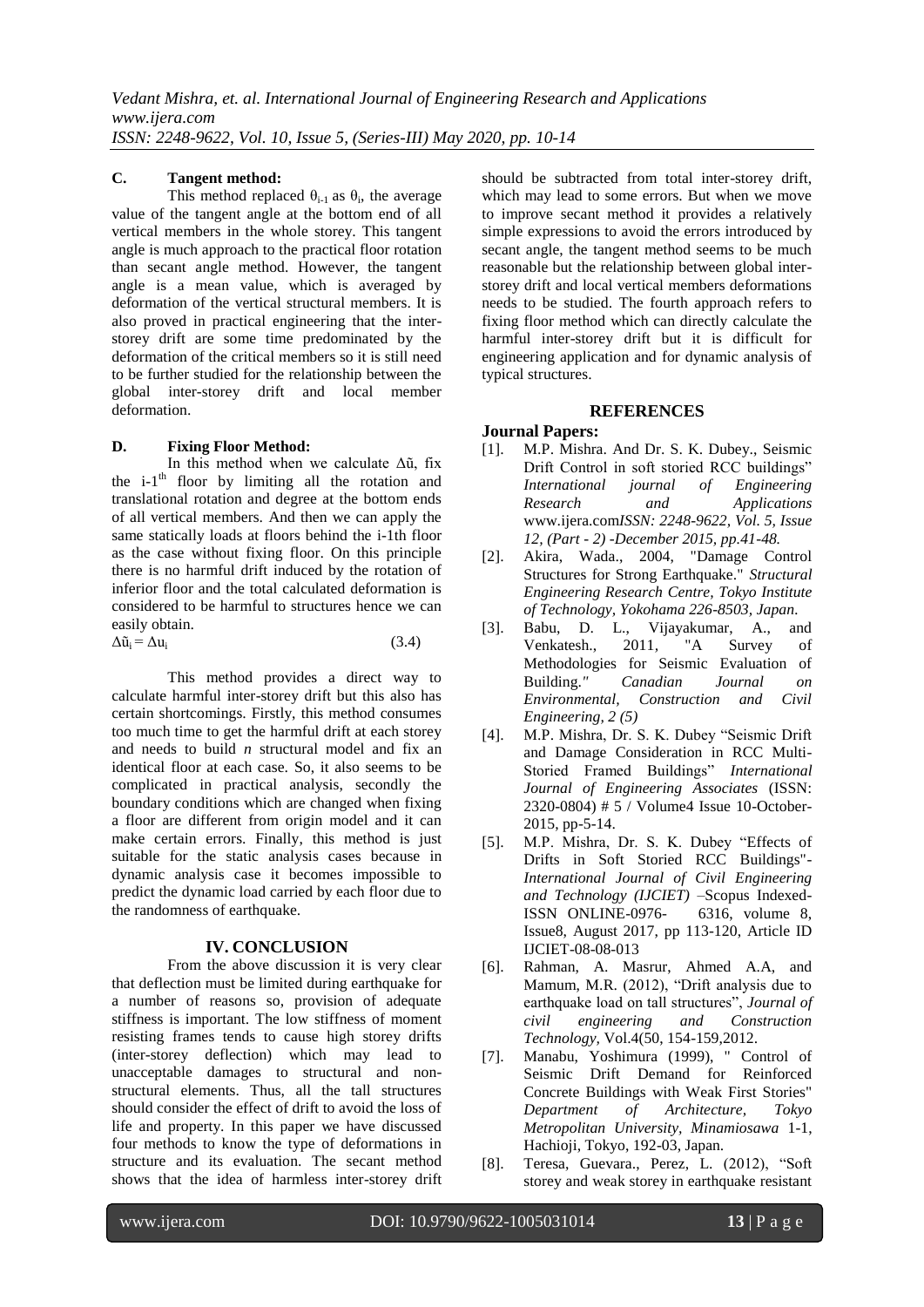#### **C. Tangent method:**

This method replaced  $\theta_{i-1}$  as  $\theta_i$ , the average value of the tangent angle at the bottom end of all vertical members in the whole storey. This tangent angle is much approach to the practical floor rotation than secant angle method. However, the tangent angle is a mean value, which is averaged by deformation of the vertical structural members. It is also proved in practical engineering that the interstorey drift are some time predominated by the deformation of the critical members so it is still need to be further studied for the relationship between the global inter-storey drift and local member deformation.

## **D. Fixing Floor Method:**

In this method when we calculate Δũ, fix the  $i-1$ <sup>th</sup> floor by limiting all the rotation and translational rotation and degree at the bottom ends of all vertical members. And then we can apply the same statically loads at floors behind the i-1th floor as the case without fixing floor. On this principle there is no harmful drift induced by the rotation of inferior floor and the total calculated deformation is considered to be harmful to structures hence we can easily obtain.

$$
\Delta \tilde{u}_i = \Delta u_i \tag{3.4}
$$

This method provides a direct way to calculate harmful inter-storey drift but this also has certain shortcomings. Firstly, this method consumes too much time to get the harmful drift at each storey and needs to build *n* structural model and fix an identical floor at each case. So, it also seems to be complicated in practical analysis, secondly the boundary conditions which are changed when fixing a floor are different from origin model and it can make certain errors. Finally, this method is just suitable for the static analysis cases because in dynamic analysis case it becomes impossible to predict the dynamic load carried by each floor due to the randomness of earthquake.

## **IV. CONCLUSION**

From the above discussion it is very clear that deflection must be limited during earthquake for a number of reasons so, provision of adequate stiffness is important. The low stiffness of moment resisting frames tends to cause high storey drifts (inter-storey deflection) which may lead to unacceptable damages to structural and nonstructural elements. Thus, all the tall structures should consider the effect of drift to avoid the loss of life and property. In this paper we have discussed four methods to know the type of deformations in structure and its evaluation. The secant method shows that the idea of harmless inter-storey drift

should be subtracted from total inter-storey drift, which may lead to some errors. But when we move to improve secant method it provides a relatively simple expressions to avoid the errors introduced by secant angle, the tangent method seems to be much reasonable but the relationship between global interstorey drift and local vertical members deformations needs to be studied. The fourth approach refers to fixing floor method which can directly calculate the harmful inter-storey drift but it is difficult for engineering application and for dynamic analysis of typical structures.

## **REFERENCES**

#### **Journal Papers:**

- [1]. M.P. Mishra. And Dr. S. K. Dubey., Seismic Drift Control in soft storied RCC buildings"<br>International journal of Engineering *International journal of Engineering Research and Applications*  www.ijera.com*ISSN: 2248-9622, Vol. 5, Issue 12, (Part - 2) -December 2015, pp.41-48.*
- [2]. Akira, Wada., 2004, "Damage Control Structures for Strong Earthquake." *Structural Engineering Research Centre, Tokyo Institute of Technology, Yokohama 226-8503, Japan.*
- [3]. Babu, D. L., Vijayakumar, A., and<br>Venkatesh.. 2011. "A Survey of Venkatesh., 2011*,* "A Survey of Methodologies for Seismic Evaluation of<br>Building." Canadian Journal on Building.*" Canadian Journal on Environmental, Construction and Civil Engineering, 2 (5)*
- [4]. M.P. Mishra, Dr. S. K. Dubey "Seismic Drift and Damage Consideration in RCC Multi-Storied Framed Buildings" *International Journal of Engineering Associates* (ISSN: 2320-0804) # 5 / Volume4 Issue 10-October-2015, pp-5-14.
- [5]. M.P. Mishra, Dr. S. K. Dubey "Effects of Drifts in Soft Storied RCC Buildings"- *International Journal of Civil Engineering*  and Technology (IJCIET) -Scopus Indexed-<br>ISSN ONLINE-0976- 6316, volume 8, ISSN ONLINE-0976-Issue8, August 2017, pp 113-120, Article ID IJCIET-08-08-013
- [6]. Rahman, A. Masrur, Ahmed A.A, and Mamum, M.R. (2012), "Drift analysis due to earthquake load on tall structures", *Journal of civil engineering and Construction Technology,* Vol.4(50, 154-159,2012.
- [7]. Manabu, Yoshimura (1999), " Control of Seismic Drift Demand for Reinforced Concrete Buildings with Weak First Stories" *Department of Architecture, Tokyo Metropolitan University, Minamiosawa* 1-1, Hachioji, Tokyo, 192-03, Japan.
- [8]. Teresa, Guevara., Perez, L. (2012), "Soft storey and weak storey in earthquake resistant